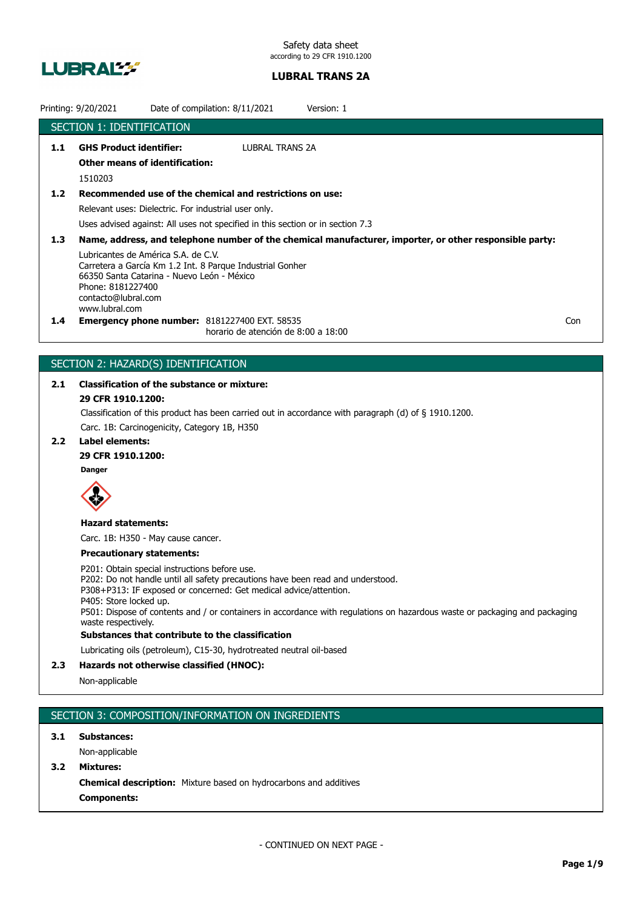

|                  | Printing: 9/20/2021<br>Date of compilation: 8/11/2021<br>Version: 1                                                                                                                                                                                                                                                                                                                  |  |  |
|------------------|--------------------------------------------------------------------------------------------------------------------------------------------------------------------------------------------------------------------------------------------------------------------------------------------------------------------------------------------------------------------------------------|--|--|
|                  | <b>SECTION 1: IDENTIFICATION</b>                                                                                                                                                                                                                                                                                                                                                     |  |  |
| 1.1              | <b>GHS Product identifier:</b><br><b>LUBRAL TRANS 2A</b>                                                                                                                                                                                                                                                                                                                             |  |  |
|                  | <b>Other means of identification:</b>                                                                                                                                                                                                                                                                                                                                                |  |  |
|                  | 1510203                                                                                                                                                                                                                                                                                                                                                                              |  |  |
| 1.2 <sub>1</sub> | Recommended use of the chemical and restrictions on use:                                                                                                                                                                                                                                                                                                                             |  |  |
|                  | Relevant uses: Dielectric. For industrial user only.                                                                                                                                                                                                                                                                                                                                 |  |  |
|                  | Uses advised against: All uses not specified in this section or in section 7.3                                                                                                                                                                                                                                                                                                       |  |  |
| 1.3              |                                                                                                                                                                                                                                                                                                                                                                                      |  |  |
|                  | Name, address, and telephone number of the chemical manufacturer, importer, or other responsible party:<br>Lubricantes de América S.A. de C.V.<br>Carretera a García Km 1.2 Int. 8 Parque Industrial Gonher<br>66350 Santa Catarina - Nuevo León - México<br>Phone: 8181227400<br>contacto@lubral.com<br>www.lubral.com                                                              |  |  |
| $1.4^{\circ}$    | <b>Emergency phone number: 8181227400 EXT. 58535</b><br>Con<br>horario de atención de 8:00 a 18:00                                                                                                                                                                                                                                                                                   |  |  |
|                  |                                                                                                                                                                                                                                                                                                                                                                                      |  |  |
|                  | SECTION 2: HAZARD(S) IDENTIFICATION                                                                                                                                                                                                                                                                                                                                                  |  |  |
| 2.1              | <b>Classification of the substance or mixture:</b>                                                                                                                                                                                                                                                                                                                                   |  |  |
|                  | 29 CFR 1910.1200:                                                                                                                                                                                                                                                                                                                                                                    |  |  |
|                  | Classification of this product has been carried out in accordance with paragraph (d) of $\S$ 1910.1200.                                                                                                                                                                                                                                                                              |  |  |
|                  | Carc. 1B: Carcinogenicity, Category 1B, H350                                                                                                                                                                                                                                                                                                                                         |  |  |
| 2.2 <sub>2</sub> | <b>Label elements:</b>                                                                                                                                                                                                                                                                                                                                                               |  |  |
|                  | 29 CFR 1910.1200:                                                                                                                                                                                                                                                                                                                                                                    |  |  |
|                  | <b>Danger</b>                                                                                                                                                                                                                                                                                                                                                                        |  |  |
|                  |                                                                                                                                                                                                                                                                                                                                                                                      |  |  |
|                  | <b>Hazard statements:</b>                                                                                                                                                                                                                                                                                                                                                            |  |  |
|                  | Carc. 1B: H350 - May cause cancer.                                                                                                                                                                                                                                                                                                                                                   |  |  |
|                  | <b>Precautionary statements:</b>                                                                                                                                                                                                                                                                                                                                                     |  |  |
|                  | P201: Obtain special instructions before use.<br>P202: Do not handle until all safety precautions have been read and understood.<br>P308+P313: IF exposed or concerned: Get medical advice/attention.<br>P405: Store locked up.<br>P501: Dispose of contents and / or containers in accordance with regulations on hazardous waste or packaging and packaging<br>waste respectively. |  |  |
|                  | Substances that contribute to the classification                                                                                                                                                                                                                                                                                                                                     |  |  |
|                  | Lubricating oils (petroleum), C15-30, hydrotreated neutral oil-based                                                                                                                                                                                                                                                                                                                 |  |  |
|                  | <b>Constantial Contration (ITALOGY)</b>                                                                                                                                                                                                                                                                                                                                              |  |  |

# **2.3 Hazards not otherwise classified (HNOC):**

Non-applicable

# SECTION 3: COMPOSITION/INFORMATION ON INGREDIENTS

**3.1 Substances:**

Non-applicable

**3.2 Mixtures:**

**Chemical description:** Mixture based on hydrocarbons and additives **Components:**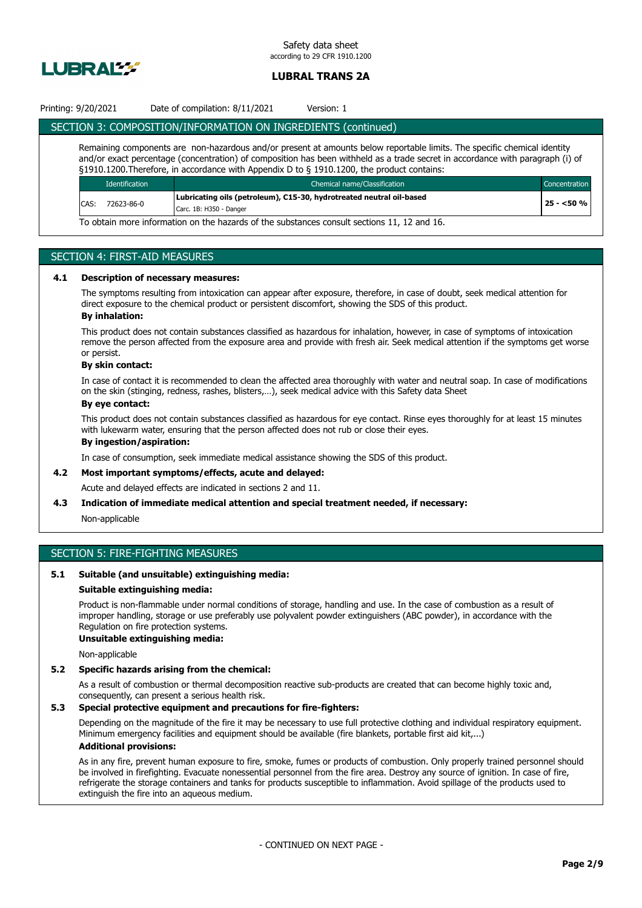

## Printing: 9/20/2021 Date of compilation: 8/11/2021 Version: 1

## SECTION 3: COMPOSITION/INFORMATION ON INGREDIENTS (continued)

Remaining components are non-hazardous and/or present at amounts below reportable limits. The specific chemical identity and/or exact percentage (concentration) of composition has been withheld as a trade secret in accordance with paragraph (i) of §1910.1200.Therefore, in accordance with Appendix D to § 1910.1200, the product contains:

|                                                                                            | <b>Identification</b> | Chemical name/Classification                                         |            |
|--------------------------------------------------------------------------------------------|-----------------------|----------------------------------------------------------------------|------------|
| CAS:                                                                                       | 72623-86-0            | Lubricating oils (petroleum), C15-30, hydrotreated neutral oil-based |            |
|                                                                                            |                       | Carc. 1B: H350 - Danger                                              | $25 - 50%$ |
| To obtain more information on the bazards of the substances consult sections 11, 12 and 16 |                       |                                                                      |            |

To obtain more information on the hazards of the substances consult sections 11, 12 and 16.

## SECTION 4: FIRST-AID MEASURES

#### **4.1 Description of necessary measures:**

The symptoms resulting from intoxication can appear after exposure, therefore, in case of doubt, seek medical attention for direct exposure to the chemical product or persistent discomfort, showing the SDS of this product.

## **By inhalation:**

This product does not contain substances classified as hazardous for inhalation, however, in case of symptoms of intoxication remove the person affected from the exposure area and provide with fresh air. Seek medical attention if the symptoms get worse or persist.

#### **By skin contact:**

In case of contact it is recommended to clean the affected area thoroughly with water and neutral soap. In case of modifications on the skin (stinging, redness, rashes, blisters,…), seek medical advice with this Safety data Sheet

## **By eye contact:**

This product does not contain substances classified as hazardous for eye contact. Rinse eyes thoroughly for at least 15 minutes with lukewarm water, ensuring that the person affected does not rub or close their eyes.

## **By ingestion/aspiration:**

In case of consumption, seek immediate medical assistance showing the SDS of this product.

## **4.2 Most important symptoms/effects, acute and delayed:**

Acute and delayed effects are indicated in sections 2 and 11.

#### **4.3 Indication of immediate medical attention and special treatment needed, if necessary:**

Non-applicable

# SECTION 5: FIRE-FIGHTING MEASURES

#### **5.1 Suitable (and unsuitable) extinguishing media:**

#### **Suitable extinguishing media:**

Product is non-flammable under normal conditions of storage, handling and use. In the case of combustion as a result of improper handling, storage or use preferably use polyvalent powder extinguishers (ABC powder), in accordance with the Regulation on fire protection systems.

## **Unsuitable extinguishing media:**

Non-applicable

#### **5.2 Specific hazards arising from the chemical:**

As a result of combustion or thermal decomposition reactive sub-products are created that can become highly toxic and, consequently, can present a serious health risk.

#### **5.3 Special protective equipment and precautions for fire-fighters:**

Depending on the magnitude of the fire it may be necessary to use full protective clothing and individual respiratory equipment. Minimum emergency facilities and equipment should be available (fire blankets, portable first aid kit,...) **Additional provisions:**

As in any fire, prevent human exposure to fire, smoke, fumes or products of combustion. Only properly trained personnel should be involved in firefighting. Evacuate nonessential personnel from the fire area. Destroy any source of ignition. In case of fire, refrigerate the storage containers and tanks for products susceptible to inflammation. Avoid spillage of the products used to extinguish the fire into an aqueous medium.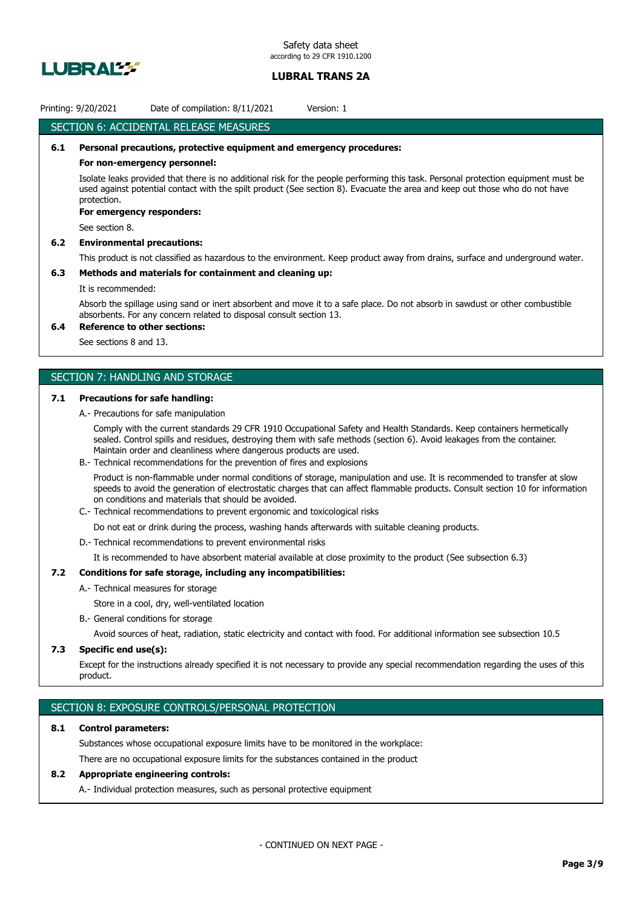

## Printing: 9/20/2021 Date of compilation: 8/11/2021 Version: 1

## SECTION 6: ACCIDENTAL RELEASE MEASURES

## **6.1 Personal precautions, protective equipment and emergency procedures:**

#### **For non-emergency personnel:**

Isolate leaks provided that there is no additional risk for the people performing this task. Personal protection equipment must be used against potential contact with the spilt product (See section 8). Evacuate the area and keep out those who do not have protection.

#### **For emergency responders:**

See section 8.

#### **6.2 Environmental precautions:**

This product is not classified as hazardous to the environment. Keep product away from drains, surface and underground water.

#### **6.3 Methods and materials for containment and cleaning up:**

## It is recommended:

Absorb the spillage using sand or inert absorbent and move it to a safe place. Do not absorb in sawdust or other combustible absorbents. For any concern related to disposal consult section 13.

## **6.4 Reference to other sections:**

See sections 8 and 13.

## SECTION 7: HANDLING AND STORAGE

#### **7.1 Precautions for safe handling:**

A.- Precautions for safe manipulation

Comply with the current standards 29 CFR 1910 Occupational Safety and Health Standards. Keep containers hermetically sealed. Control spills and residues, destroying them with safe methods (section 6). Avoid leakages from the container. Maintain order and cleanliness where dangerous products are used.

B.- Technical recommendations for the prevention of fires and explosions

Product is non-flammable under normal conditions of storage, manipulation and use. It is recommended to transfer at slow speeds to avoid the generation of electrostatic charges that can affect flammable products. Consult section 10 for information on conditions and materials that should be avoided.

C.- Technical recommendations to prevent ergonomic and toxicological risks

Do not eat or drink during the process, washing hands afterwards with suitable cleaning products.

D.- Technical recommendations to prevent environmental risks

It is recommended to have absorbent material available at close proximity to the product (See subsection 6.3)

## **7.2 Conditions for safe storage, including any incompatibilities:**

- A.- Technical measures for storage
	- Store in a cool, dry, well-ventilated location
- B.- General conditions for storage

Avoid sources of heat, radiation, static electricity and contact with food. For additional information see subsection 10.5

#### **7.3 Specific end use(s):**

Except for the instructions already specified it is not necessary to provide any special recommendation regarding the uses of this product.

## SECTION 8: EXPOSURE CONTROLS/PERSONAL PROTECTION

#### **8.1 Control parameters:**

Substances whose occupational exposure limits have to be monitored in the workplace:

There are no occupational exposure limits for the substances contained in the product

## **8.2 Appropriate engineering controls:**

A.- Individual protection measures, such as personal protective equipment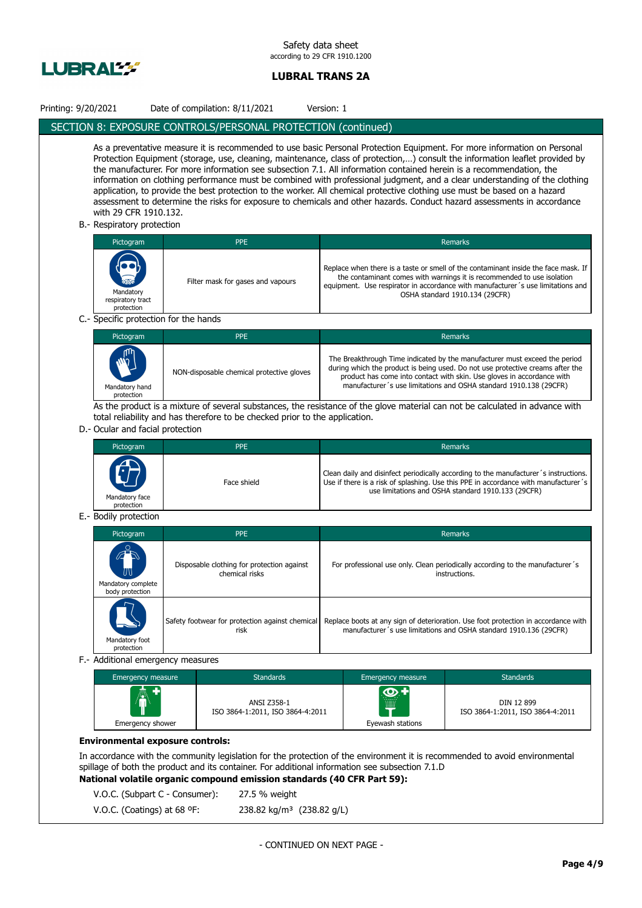

| Printing: 9/20/2021                                                                                                                                                                                                                                                                                                                                                                                                                                                                                                                                                                                                                                                                                                                                                                                                          | Date of compilation: 8/11/2021                                                                                                | Version: 1              |                                                                                                                                                                                                                                                                                                             |  |
|------------------------------------------------------------------------------------------------------------------------------------------------------------------------------------------------------------------------------------------------------------------------------------------------------------------------------------------------------------------------------------------------------------------------------------------------------------------------------------------------------------------------------------------------------------------------------------------------------------------------------------------------------------------------------------------------------------------------------------------------------------------------------------------------------------------------------|-------------------------------------------------------------------------------------------------------------------------------|-------------------------|-------------------------------------------------------------------------------------------------------------------------------------------------------------------------------------------------------------------------------------------------------------------------------------------------------------|--|
|                                                                                                                                                                                                                                                                                                                                                                                                                                                                                                                                                                                                                                                                                                                                                                                                                              | SECTION 8: EXPOSURE CONTROLS/PERSONAL PROTECTION (continued)                                                                  |                         |                                                                                                                                                                                                                                                                                                             |  |
| As a preventative measure it is recommended to use basic Personal Protection Equipment. For more information on Personal<br>Protection Equipment (storage, use, cleaning, maintenance, class of protection,) consult the information leaflet provided by<br>the manufacturer. For more information see subsection 7.1. All information contained herein is a recommendation, the<br>information on clothing performance must be combined with professional judgment, and a clear understanding of the clothing<br>application, to provide the best protection to the worker. All chemical protective clothing use must be based on a hazard<br>assessment to determine the risks for exposure to chemicals and other hazards. Conduct hazard assessments in accordance<br>with 29 CFR 1910.132.<br>B. Respiratory protection |                                                                                                                               |                         |                                                                                                                                                                                                                                                                                                             |  |
| Pictogram                                                                                                                                                                                                                                                                                                                                                                                                                                                                                                                                                                                                                                                                                                                                                                                                                    | <b>PPE</b>                                                                                                                    |                         | Remarks                                                                                                                                                                                                                                                                                                     |  |
| Mandatory<br>respiratory tract<br>protection                                                                                                                                                                                                                                                                                                                                                                                                                                                                                                                                                                                                                                                                                                                                                                                 | Filter mask for gases and vapours                                                                                             |                         | Replace when there is a taste or smell of the contaminant inside the face mask. If<br>the contaminant comes with warnings it is recommended to use isolation<br>equipment. Use respirator in accordance with manufacturer's use limitations and<br>OSHA standard 1910.134 (29CFR)                           |  |
| C.- Specific protection for the hands                                                                                                                                                                                                                                                                                                                                                                                                                                                                                                                                                                                                                                                                                                                                                                                        |                                                                                                                               |                         |                                                                                                                                                                                                                                                                                                             |  |
| Pictogram                                                                                                                                                                                                                                                                                                                                                                                                                                                                                                                                                                                                                                                                                                                                                                                                                    | <b>PPE</b>                                                                                                                    |                         | Remarks                                                                                                                                                                                                                                                                                                     |  |
| Mandatory hand<br>protection                                                                                                                                                                                                                                                                                                                                                                                                                                                                                                                                                                                                                                                                                                                                                                                                 | NON-disposable chemical protective gloves                                                                                     |                         | The Breakthrough Time indicated by the manufacturer must exceed the period<br>during which the product is being used. Do not use protective creams after the<br>product has come into contact with skin. Use gloves in accordance with<br>manufacturer's use limitations and OSHA standard 1910.138 (29CFR) |  |
|                                                                                                                                                                                                                                                                                                                                                                                                                                                                                                                                                                                                                                                                                                                                                                                                                              | As the product is a mixture of several substances, the resistance of the glove material can not be calculated in advance with |                         |                                                                                                                                                                                                                                                                                                             |  |
| D.- Ocular and facial protection                                                                                                                                                                                                                                                                                                                                                                                                                                                                                                                                                                                                                                                                                                                                                                                             | total reliability and has therefore to be checked prior to the application.                                                   |                         |                                                                                                                                                                                                                                                                                                             |  |
| Pictogram                                                                                                                                                                                                                                                                                                                                                                                                                                                                                                                                                                                                                                                                                                                                                                                                                    | <b>PPE</b>                                                                                                                    |                         | Remarks                                                                                                                                                                                                                                                                                                     |  |
| Mandatory face                                                                                                                                                                                                                                                                                                                                                                                                                                                                                                                                                                                                                                                                                                                                                                                                               | Face shield                                                                                                                   |                         | Clean daily and disinfect periodically according to the manufacturer's instructions.<br>Use if there is a risk of splashing. Use this PPE in accordance with manufacturer's<br>use limitations and OSHA standard 1910.133 (29CFR)                                                                           |  |
| E.- Bodily protection                                                                                                                                                                                                                                                                                                                                                                                                                                                                                                                                                                                                                                                                                                                                                                                                        | protection                                                                                                                    |                         |                                                                                                                                                                                                                                                                                                             |  |
| Pictogram                                                                                                                                                                                                                                                                                                                                                                                                                                                                                                                                                                                                                                                                                                                                                                                                                    | <b>PPE</b>                                                                                                                    |                         | Remarks                                                                                                                                                                                                                                                                                                     |  |
| Mandatory complete<br>body protection                                                                                                                                                                                                                                                                                                                                                                                                                                                                                                                                                                                                                                                                                                                                                                                        | Disposable clothing for protection against<br>chemical risks                                                                  |                         | For professional use only. Clean periodically according to the manufacturer's<br>instructions.                                                                                                                                                                                                              |  |
| Mandatory foot<br>protection                                                                                                                                                                                                                                                                                                                                                                                                                                                                                                                                                                                                                                                                                                                                                                                                 | Safety footwear for protection against chemical<br>risk                                                                       |                         | Replace boots at any sign of deterioration. Use foot protection in accordance with<br>manufacturer's use limitations and OSHA standard 1910.136 (29CFR)                                                                                                                                                     |  |
| F.- Additional emergency measures                                                                                                                                                                                                                                                                                                                                                                                                                                                                                                                                                                                                                                                                                                                                                                                            |                                                                                                                               |                         |                                                                                                                                                                                                                                                                                                             |  |
| Emergency measure                                                                                                                                                                                                                                                                                                                                                                                                                                                                                                                                                                                                                                                                                                                                                                                                            | <b>Standards</b>                                                                                                              | Emergency measure       | <b>Standards</b>                                                                                                                                                                                                                                                                                            |  |
| Emergency shower                                                                                                                                                                                                                                                                                                                                                                                                                                                                                                                                                                                                                                                                                                                                                                                                             | ANSI Z358-1<br>ISO 3864-1:2011, ISO 3864-4:2011                                                                               | ထ -<br>Eyewash stations | DIN 12 899<br>ISO 3864-1:2011, ISO 3864-4:2011                                                                                                                                                                                                                                                              |  |
| <b>Environmental exposure controls:</b><br>In accordance with the community legislation for the protection of the environment it is recommended to avoid environmental<br>spillage of both the product and its container. For additional information see subsection 7.1.D<br>National volatile organic compound emission standards (40 CFR Part 59):<br>V.O.C. (Subpart C - Consumer):<br>27.5 % weight                                                                                                                                                                                                                                                                                                                                                                                                                      |                                                                                                                               |                         |                                                                                                                                                                                                                                                                                                             |  |
| V.O.C. (Coatings) at 68 °F:<br>238.82 kg/m <sup>3</sup> (238.82 g/L)                                                                                                                                                                                                                                                                                                                                                                                                                                                                                                                                                                                                                                                                                                                                                         |                                                                                                                               |                         |                                                                                                                                                                                                                                                                                                             |  |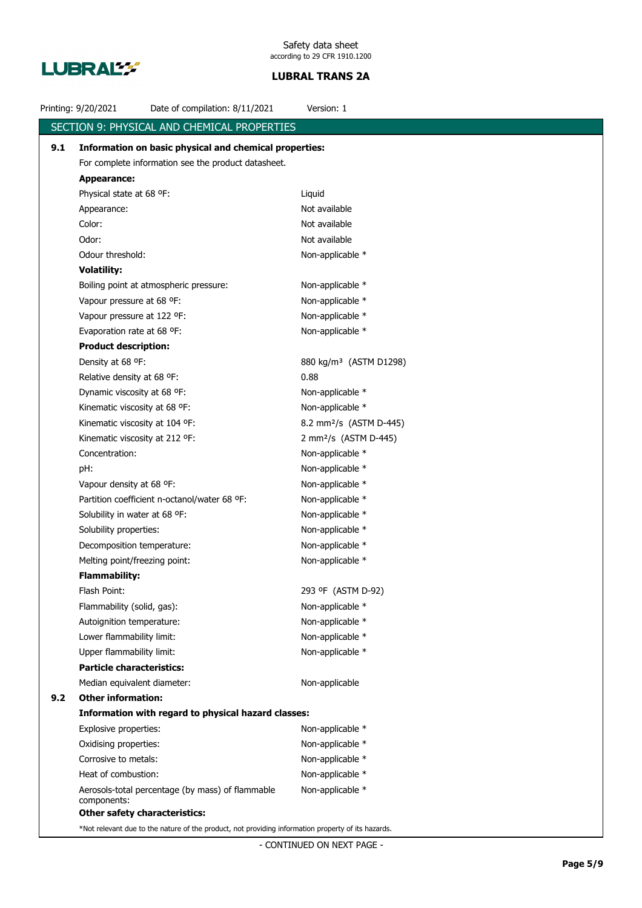

|     | Printing: 9/20/2021                                                                                | Date of compilation: 8/11/2021                      | Version: 1                          |  |
|-----|----------------------------------------------------------------------------------------------------|-----------------------------------------------------|-------------------------------------|--|
|     |                                                                                                    | SECTION 9: PHYSICAL AND CHEMICAL PROPERTIES         |                                     |  |
| 9.1 | Information on basic physical and chemical properties:                                             |                                                     |                                     |  |
|     | For complete information see the product datasheet.                                                |                                                     |                                     |  |
|     | <b>Appearance:</b>                                                                                 |                                                     |                                     |  |
|     | Physical state at 68 °F:                                                                           |                                                     | Liquid                              |  |
|     | Appearance:                                                                                        |                                                     | Not available                       |  |
|     | Color:                                                                                             |                                                     | Not available                       |  |
|     | Odor:                                                                                              |                                                     | Not available                       |  |
|     | Odour threshold:                                                                                   |                                                     | Non-applicable *                    |  |
|     | <b>Volatility:</b>                                                                                 |                                                     |                                     |  |
|     |                                                                                                    | Boiling point at atmospheric pressure:              | Non-applicable *                    |  |
|     | Vapour pressure at 68 °F:                                                                          |                                                     | Non-applicable *                    |  |
|     | Vapour pressure at 122 °F:                                                                         |                                                     | Non-applicable *                    |  |
|     | Evaporation rate at 68 °F:                                                                         |                                                     | Non-applicable *                    |  |
|     | <b>Product description:</b>                                                                        |                                                     |                                     |  |
|     | Density at 68 °F:                                                                                  |                                                     | 880 kg/m <sup>3</sup> (ASTM D1298)  |  |
|     | Relative density at 68 °F:                                                                         |                                                     | 0.88                                |  |
|     | Dynamic viscosity at 68 °F:                                                                        |                                                     | Non-applicable *                    |  |
|     | Kinematic viscosity at 68 °F:                                                                      |                                                     | Non-applicable *                    |  |
|     | Kinematic viscosity at 104 °F:                                                                     |                                                     | 8.2 mm <sup>2</sup> /s (ASTM D-445) |  |
|     | Kinematic viscosity at 212 °F:                                                                     |                                                     | 2 mm <sup>2</sup> /s (ASTM D-445)   |  |
|     | Concentration:                                                                                     |                                                     | Non-applicable *                    |  |
|     | pH:                                                                                                |                                                     | Non-applicable *                    |  |
|     | Vapour density at 68 °F:                                                                           |                                                     | Non-applicable *                    |  |
|     |                                                                                                    | Partition coefficient n-octanol/water 68 °F:        | Non-applicable *                    |  |
|     | Solubility in water at 68 °F:                                                                      |                                                     | Non-applicable *                    |  |
|     | Solubility properties:                                                                             |                                                     | Non-applicable *                    |  |
|     | Decomposition temperature:                                                                         |                                                     | Non-applicable *                    |  |
|     | Melting point/freezing point:                                                                      |                                                     | Non-applicable *                    |  |
|     | <b>Flammability:</b>                                                                               |                                                     |                                     |  |
|     | Flash Point:                                                                                       |                                                     | 293 ºF (ASTM D-92)                  |  |
|     | Flammability (solid, gas):                                                                         |                                                     | Non-applicable *                    |  |
|     | Autoignition temperature:                                                                          |                                                     | Non-applicable *                    |  |
|     | Lower flammability limit:                                                                          |                                                     | Non-applicable *                    |  |
|     | Upper flammability limit:<br><b>Particle characteristics:</b>                                      |                                                     | Non-applicable *                    |  |
|     |                                                                                                    |                                                     |                                     |  |
| 9.2 | Median equivalent diameter:<br><b>Other information:</b>                                           |                                                     | Non-applicable                      |  |
|     |                                                                                                    | Information with regard to physical hazard classes: |                                     |  |
|     | Explosive properties:                                                                              |                                                     | Non-applicable *                    |  |
|     | Oxidising properties:                                                                              |                                                     | Non-applicable *                    |  |
|     | Corrosive to metals:                                                                               |                                                     | Non-applicable *                    |  |
|     | Heat of combustion:                                                                                |                                                     | Non-applicable *                    |  |
|     |                                                                                                    | Aerosols-total percentage (by mass) of flammable    | Non-applicable *                    |  |
|     | components:                                                                                        |                                                     |                                     |  |
|     | <b>Other safety characteristics:</b>                                                               |                                                     |                                     |  |
|     | *Not relevant due to the nature of the product, not providing information property of its hazards. |                                                     |                                     |  |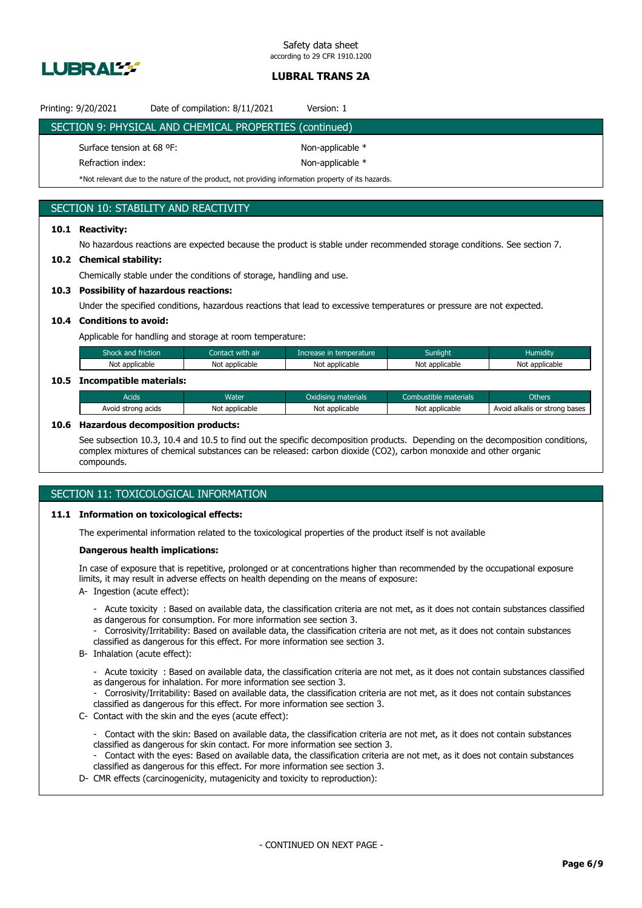

| Printing: 9/20/2021                            | Date of compilation: 8/11/2021                          | Version: 1                           |  |
|------------------------------------------------|---------------------------------------------------------|--------------------------------------|--|
|                                                | SECTION 9: PHYSICAL AND CHEMICAL PROPERTIES (continued) |                                      |  |
| Surface tension at 68 °F:<br>Refraction index: |                                                         | Non-applicable *<br>Non-applicable * |  |

# \*Not relevant due to the nature of the product, not providing information property of its hazards.

## SECTION 10: STABILITY AND REACTIVITY

## **10.1 Reactivity:**

No hazardous reactions are expected because the product is stable under recommended storage conditions. See section 7.

#### **10.2 Chemical stability:**

Chemically stable under the conditions of storage, handling and use.

## **10.3 Possibility of hazardous reactions:**

Under the specified conditions, hazardous reactions that lead to excessive temperatures or pressure are not expected.

## **10.4 Conditions to avoid:**

Applicable for handling and storage at room temperature:

| Shock and friction | Contact with air | Thcrease in temperature | Sunliaht       | <b>Humidity</b> |  |
|--------------------|------------------|-------------------------|----------------|-----------------|--|
| Not applicable     | Not applicable   | Not applicable          | Not applicable | Not applicable  |  |
|                    |                  |                         |                |                 |  |

## **10.5 Incompatible materials:**

| Acids              | Water          | Oxidising materials | Combustible materials | Others                                          |
|--------------------|----------------|---------------------|-----------------------|-------------------------------------------------|
| Avoid strong acids | Not applicable | Not applicable      | Not applicable        | strong bases<br>Avoid<br>l alkalis or<br>$\sim$ |

#### **10.6 Hazardous decomposition products:**

See subsection 10.3, 10.4 and 10.5 to find out the specific decomposition products. Depending on the decomposition conditions, complex mixtures of chemical substances can be released: carbon dioxide (CO2), carbon monoxide and other organic compounds.

## SECTION 11: TOXICOLOGICAL INFORMATION

#### **11.1 Information on toxicological effects:**

The experimental information related to the toxicological properties of the product itself is not available

#### **Dangerous health implications:**

In case of exposure that is repetitive, prolonged or at concentrations higher than recommended by the occupational exposure limits, it may result in adverse effects on health depending on the means of exposure:

- A- Ingestion (acute effect):
	- Acute toxicity : Based on available data, the classification criteria are not met, as it does not contain substances classified as dangerous for consumption. For more information see section 3.
	- Corrosivity/Irritability: Based on available data, the classification criteria are not met, as it does not contain substances classified as dangerous for this effect. For more information see section 3.
- B- Inhalation (acute effect):
	- Acute toxicity : Based on available data, the classification criteria are not met, as it does not contain substances classified as dangerous for inhalation. For more information see section 3.
	- Corrosivity/Irritability: Based on available data, the classification criteria are not met, as it does not contain substances classified as dangerous for this effect. For more information see section 3.
- C- Contact with the skin and the eyes (acute effect):
	- Contact with the skin: Based on available data, the classification criteria are not met, as it does not contain substances classified as dangerous for skin contact. For more information see section 3. Contact with the eyes: Based on available data, the classification criteria are not met, as it does not contain substances classified as dangerous for this effect. For more information see section 3.
- D- CMR effects (carcinogenicity, mutagenicity and toxicity to reproduction):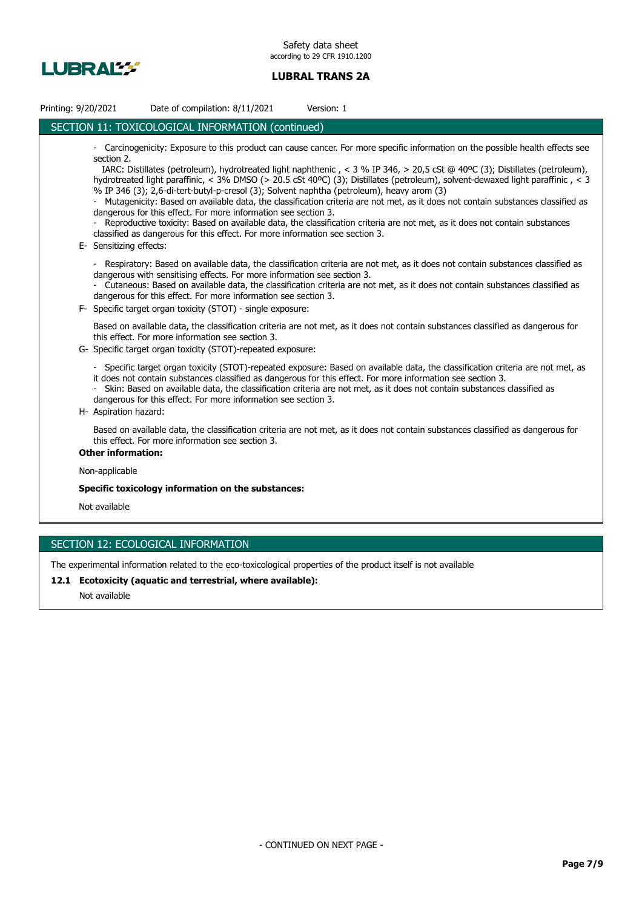

| Printing: 9/20/2021                   | Date of compilation: 8/11/2021                                                                                                                                                                                                              | Version: 1                                                                                                                                                                                                                                                                                                                                                                                                                                                                                                                                                                                                                                                           |
|---------------------------------------|---------------------------------------------------------------------------------------------------------------------------------------------------------------------------------------------------------------------------------------------|----------------------------------------------------------------------------------------------------------------------------------------------------------------------------------------------------------------------------------------------------------------------------------------------------------------------------------------------------------------------------------------------------------------------------------------------------------------------------------------------------------------------------------------------------------------------------------------------------------------------------------------------------------------------|
|                                       | SECTION 11: TOXICOLOGICAL INFORMATION (continued)                                                                                                                                                                                           |                                                                                                                                                                                                                                                                                                                                                                                                                                                                                                                                                                                                                                                                      |
| section 2.<br>E- Sensitizing effects: | % IP 346 (3); 2,6-di-tert-butyl-p-cresol (3); Solvent naphtha (petroleum), heavy arom (3)<br>dangerous for this effect. For more information see section 3.<br>classified as dangerous for this effect. For more information see section 3. | - Carcinogenicity: Exposure to this product can cause cancer. For more specific information on the possible health effects see<br>IARC: Distillates (petroleum), hydrotreated light naphthenic, < 3 % IP 346, > 20,5 cSt @ 40°C (3); Distillates (petroleum),<br>hydrotreated light paraffinic, < 3% DMSO (> 20.5 cSt 40°C) (3); Distillates (petroleum), solvent-dewaxed light paraffinic, < 3<br>- Mutagenicity: Based on available data, the classification criteria are not met, as it does not contain substances classified as<br>- Reproductive toxicity: Based on available data, the classification criteria are not met, as it does not contain substances |
| $\blacksquare$                        | dangerous with sensitising effects. For more information see section 3.<br>dangerous for this effect. For more information see section 3.<br>F- Specific target organ toxicity (STOT) - single exposure:                                    | Respiratory: Based on available data, the classification criteria are not met, as it does not contain substances classified as<br>- Cutaneous: Based on available data, the classification criteria are not met, as it does not contain substances classified as<br>Based on available data, the classification criteria are not met, as it does not contain substances classified as dangerous for                                                                                                                                                                                                                                                                  |
|                                       | this effect. For more information see section 3.<br>G- Specific target organ toxicity (STOT)-repeated exposure:                                                                                                                             |                                                                                                                                                                                                                                                                                                                                                                                                                                                                                                                                                                                                                                                                      |
| H- Aspiration hazard:                 | dangerous for this effect. For more information see section 3.                                                                                                                                                                              | Specific target organ toxicity (STOT)-repeated exposure: Based on available data, the classification criteria are not met, as<br>it does not contain substances classified as dangerous for this effect. For more information see section 3.<br>- Skin: Based on available data, the classification criteria are not met, as it does not contain substances classified as                                                                                                                                                                                                                                                                                            |
|                                       | this effect. For more information see section 3.                                                                                                                                                                                            | Based on available data, the classification criteria are not met, as it does not contain substances classified as dangerous for                                                                                                                                                                                                                                                                                                                                                                                                                                                                                                                                      |
| <b>Other information:</b>             |                                                                                                                                                                                                                                             |                                                                                                                                                                                                                                                                                                                                                                                                                                                                                                                                                                                                                                                                      |
| Non-applicable                        |                                                                                                                                                                                                                                             |                                                                                                                                                                                                                                                                                                                                                                                                                                                                                                                                                                                                                                                                      |
|                                       | Specific toxicology information on the substances:                                                                                                                                                                                          |                                                                                                                                                                                                                                                                                                                                                                                                                                                                                                                                                                                                                                                                      |
| Not available                         |                                                                                                                                                                                                                                             |                                                                                                                                                                                                                                                                                                                                                                                                                                                                                                                                                                                                                                                                      |

# SECTION 12: ECOLOGICAL INFORMATION

The experimental information related to the eco-toxicological properties of the product itself is not available

**12.1 Ecotoxicity (aquatic and terrestrial, where available):**

Not available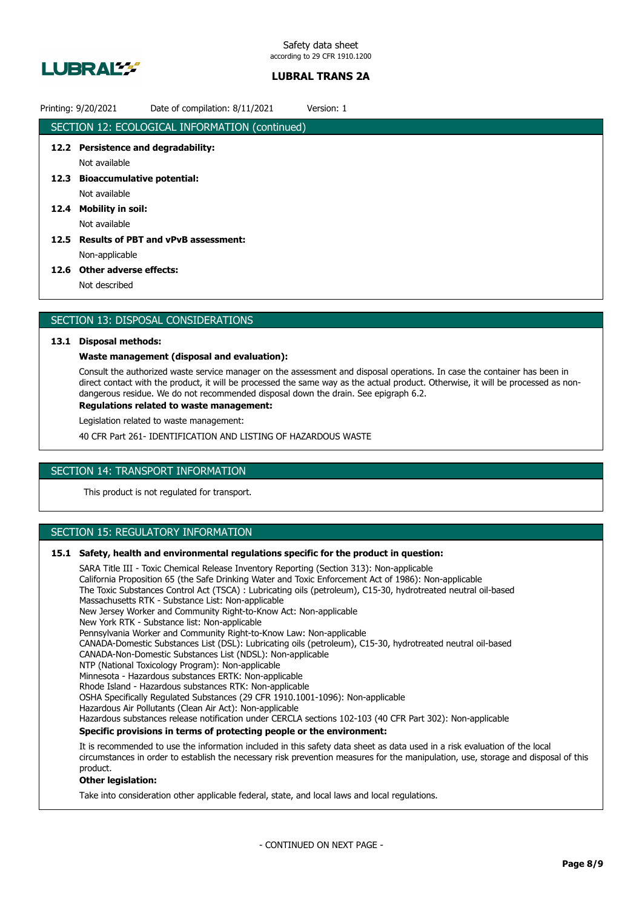

# Printing: 9/20/2021 Date of compilation: 8/11/2021 Version: 1

|      | SECTION 12: ECOLOGICAL INFORMATION (continued) |
|------|------------------------------------------------|
|      | 12.2 Persistence and degradability:            |
|      | Not available                                  |
|      | 12.3 Bioaccumulative potential:                |
|      | Not available                                  |
|      | 12.4 Mobility in soil:                         |
|      | Not available                                  |
| 12.5 | <b>Results of PBT and vPvB assessment:</b>     |
|      | Non-applicable                                 |
|      | 12.6 Other adverse effects:                    |
|      | Not described                                  |
|      |                                                |

# SECTION 13: DISPOSAL CONSIDERATIONS

## **13.1 Disposal methods:**

## **Waste management (disposal and evaluation):**

Consult the authorized waste service manager on the assessment and disposal operations. In case the container has been in direct contact with the product, it will be processed the same way as the actual product. Otherwise, it will be processed as nondangerous residue. We do not recommended disposal down the drain. See epigraph 6.2.

## **Regulations related to waste management:**

Legislation related to waste management:

40 CFR Part 261- IDENTIFICATION AND LISTING OF HAZARDOUS WASTE

# SECTION 14: TRANSPORT INFORMATION

This product is not regulated for transport.

# SECTION 15: REGULATORY INFORMATION

## **15.1 Safety, health and environmental regulations specific for the product in question:**

SARA Title III - Toxic Chemical Release Inventory Reporting (Section 313): Non-applicable California Proposition 65 (the Safe Drinking Water and Toxic Enforcement Act of 1986): Non-applicable The Toxic Substances Control Act (TSCA) : Lubricating oils (petroleum), C15-30, hydrotreated neutral oil-based Massachusetts RTK - Substance List: Non-applicable New Jersey Worker and Community Right-to-Know Act: Non-applicable New York RTK - Substance list: Non-applicable Pennsylvania Worker and Community Right-to-Know Law: Non-applicable CANADA-Domestic Substances List (DSL): Lubricating oils (petroleum), C15-30, hydrotreated neutral oil-based CANADA-Non-Domestic Substances List (NDSL): Non-applicable NTP (National Toxicology Program): Non-applicable Minnesota - Hazardous substances ERTK: Non-applicable Rhode Island - Hazardous substances RTK: Non-applicable OSHA Specifically Regulated Substances (29 CFR 1910.1001-1096): Non-applicable Hazardous Air Pollutants (Clean Air Act): Non-applicable Hazardous substances release notification under CERCLA sections 102-103 (40 CFR Part 302): Non-applicable **Specific provisions in terms of protecting people or the environment:** It is recommended to use the information included in this safety data sheet as data used in a risk evaluation of the local circumstances in order to establish the necessary risk prevention measures for the manipulation, use, storage and disposal of this product.

## **Other legislation:**

Take into consideration other applicable federal, state, and local laws and local regulations.